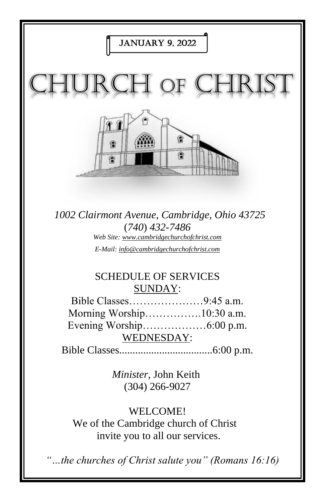

*E-Mail: info@cambridgechurchofchrist.com*

# SCHEDULE OF SERVICES SUNDAY:

Bible Classes…………………9:45 a.m. Morning Worship…………….10:30 a.m. Evening Worship………………6:00 p.m. WEDNESDAY:

Bible Classes...................................6:00 p.m.

*Minister,* John Keith (304) 266-9027

WELCOME!

We of the Cambridge church of Christ invite you to all our services.

*"…the churches of Christ salute you" (Romans 16:16)*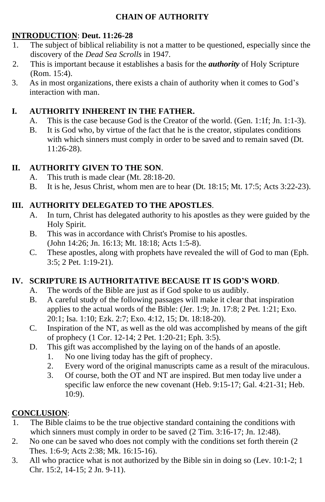## **CHAIN OF AUTHORITY**

## **INTRODUCTION**: **Deut. 11:26-28**

- 1. The subject of biblical reliability is not a matter to be questioned, especially since the discovery of the *Dead Sea Scrolls* in 1947.
- 2. This is important because it establishes a basis for the *authority* of Holy Scripture (Rom. 15:4).
- 3. As in most organizations, there exists a chain of authority when it comes to God's interaction with man.

## **I. AUTHORITY INHERENT IN THE FATHER.**

- A. This is the case because God is the Creator of the world. (Gen. 1:1f; Jn. 1:1-3).
- B. It is God who, by virtue of the fact that he is the creator, stipulates conditions with which sinners must comply in order to be saved and to remain saved (Dt. 11:26-28).

## **II. AUTHORITY GIVEN TO THE SON**.

- A. This truth is made clear (Mt. 28:18-20.
- B. It is he, Jesus Christ, whom men are to hear (Dt. 18:15; Mt. 17:5; Acts 3:22-23).

## **III. AUTHORITY DELEGATED TO THE APOSTLES**.

- A. In turn, Christ has delegated authority to his apostles as they were guided by the Holy Spirit.
- B. This was in accordance with Christ's Promise to his apostles. (John 14:26; Jn. 16:13; Mt. 18:18; Acts 1:5-8).
- C. These apostles, along with prophets have revealed the will of God to man (Eph. 3:5; 2 Pet. 1:19-21).

## **IV. SCRIPTURE IS AUTHORITATIVE BECAUSE IT IS GOD'S WORD**.

- A. The words of the Bible are just as if God spoke to us audibly.
- B. A careful study of the following passages will make it clear that inspiration applies to the actual words of the Bible: (Jer. 1:9; Jn. 17:8; 2 Pet. 1:21; Exo. 20:1; Isa. 1:10; Ezk. 2:7; Exo. 4:12, 15; Dt. 18:18-20).
- C. Inspiration of the NT, as well as the old was accomplished by means of the gift of prophecy (1 Cor. 12-14; 2 Pet. 1:20-21; Eph. 3:5).
- D. This gift was accomplished by the laying on of the hands of an apostle.
	- 1. No one living today has the gift of prophecy.
	- 2. Every word of the original manuscripts came as a result of the miraculous.
	- 3. Of course, both the OT and NT are inspired. But men today live under a specific law enforce the new covenant (Heb. 9:15-17; Gal. 4:21-31; Heb. 10:9).

## **CONCLUSION**:

- 1. The Bible claims to be the true objective standard containing the conditions with which sinners must comply in order to be saved (2 Tim. 3:16-17; Jn. 12:48).
- 2. No one can be saved who does not comply with the conditions set forth therein (2 Thes. 1:6-9; Acts 2:38; Mk. 16:15-16).
- 3. All who practice what is not authorized by the Bible sin in doing so (Lev. 10:1-2; 1 Chr. 15:2, 14-15; 2 Jn. 9-11).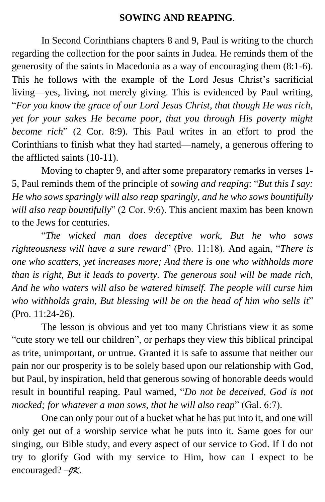## **SOWING AND REAPING**.

In Second Corinthians chapters 8 and 9, Paul is writing to the church regarding the collection for the poor saints in Judea. He reminds them of the generosity of the saints in Macedonia as a way of encouraging them (8:1-6). This he follows with the example of the Lord Jesus Christ's sacrificial living—yes, living, not merely giving. This is evidenced by Paul writing, "*For you know the grace of our Lord Jesus Christ, that though He was rich, yet for your sakes He became poor, that you through His poverty might become rich*" (2 Cor. 8:9). This Paul writes in an effort to prod the Corinthians to finish what they had started—namely, a generous offering to the afflicted saints (10-11).

Moving to chapter 9, and after some preparatory remarks in verses 1- 5, Paul reminds them of the principle of *sowing and reaping*: "*But this I say: He who sows sparingly will also reap sparingly, and he who sows bountifully will also reap bountifully*" (2 Cor. 9:6). This ancient maxim has been known to the Jews for centuries.

"*The wicked man does deceptive work, But he who sows righteousness will have a sure reward*" (Pro. 11:18). And again, "*There is one who scatters, yet increases more; And there is one who withholds more than is right, But it leads to poverty. The generous soul will be made rich, And he who waters will also be watered himself. The people will curse him who withholds grain, But blessing will be on the head of him who sells it*" (Pro. 11:24-26).

The lesson is obvious and yet too many Christians view it as some "cute story we tell our children", or perhaps they view this biblical principal as trite, unimportant, or untrue. Granted it is safe to assume that neither our pain nor our prosperity is to be solely based upon our relationship with God, but Paul, by inspiration, held that generous sowing of honorable deeds would result in bountiful reaping. Paul warned, "*Do not be deceived, God is not mocked; for whatever a man sows, that he will also reap*" (Gal. 6:7).

One can only pour out of a bucket what he has put into it, and one will only get out of a worship service what he puts into it. Same goes for our singing, our Bible study, and every aspect of our service to God. If I do not try to glorify God with my service to Him, how can I expect to be encouraged? –*JK*.